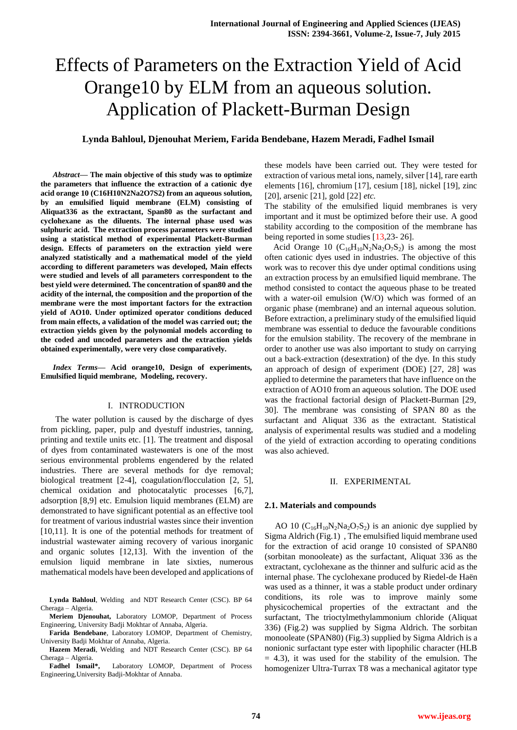# Effects of Parameters on the Extraction Yield of Acid Orange10 by ELM from an aqueous solution. Application of Plackett-Burman Design

# **Lynda Bahloul, Djenouhat Meriem, Farida Bendebane, Hazem Meradi, Fadhel Ismail**

*Abstract***— The main objective of this study was to optimize the parameters that influence the extraction of a cationic dye acid orange 10 (C16H10N2Na2O7S2) from an aqueous solution, by an emulsified liquid membrane (ELM) consisting of Aliquat336 as the extractant, Span80 as the surfactant and cyclohexane as the diluents. The internal phase used was sulphuric acid. The extraction process parameters were studied using a statistical method of experimental Plackett-Burman design. Effects of parameters on the extraction yield were analyzed statistically and a mathematical model of the yield according to different parameters was developed, Main effects were studied and levels of all parameters correspondent to the best yield were determined. The concentration of span80 and the acidity of the internal, the composition and the proportion of the membrane were the most important factors for the extraction yield of AO10. Under optimized operator conditions deduced from main effects, a validation of the model was carried out; the extraction yields given by the polynomial models according to the coded and uncoded parameters and the extraction yields obtained experimentally, were very close comparatively.**

*Index Terms***— Acid orange10, Design of experiments, Emulsified liquid membrane, Modeling, recovery.** 

#### I. INTRODUCTION

 The water pollution is caused by the discharge of dyes from pickling, paper, pulp and dyestuff industries, tanning, printing and textile units etc. [1]. The treatment and disposal of dyes from contaminated wastewaters is one of the most serious environmental problems engendered by the related industries. There are several methods for dye removal; biological treatment [2-4], coagulation/flocculation [2, 5], chemical oxidation and photocatalytic processes [6,7], adsorption [8,9] etc. Emulsion liquid membranes (ELM) are demonstrated to have significant potential as an effective tool for treatment of various industrial wastes since their invention [10,11]. It is one of the potential methods for treatment of industrial wastewater aiming recovery of various inorganic and organic solutes [12,13]. With the invention of the emulsion liquid membrane in late sixties, numerous mathematical models have been developed and applications of

**Lynda Bahloul**, Welding and NDT Research Center (CSC). BP 64 Cheraga – Algeria.

**Meriem Djenouhat,** Laboratory LOMOP, Department of Process Engineering, University Badji Mokhtar of Annaba, Algeria.

**Farida Bendebane**, Laboratory LOMOP, Department of Chemistry, University Badji Mokhtar of Annaba, Algeria.

**Hazem Meradi**, Welding and NDT Research Center (CSC). BP 64 Cheraga – Algeria.

**Fadhel Ismail\*,** Laboratory LOMOP, Department of Process Engineering,University Badji-Mokhtar of Annaba.

these models have been carried out. They were tested for extraction of various metal ions, namely, silver [14], rare earth elements [16], chromium [17], cesium [18], nickel [19], zinc [20], arsenic [21], gold [22] *etc.*

The stability of the emulsified liquid membranes is very important and it must be optimized before their use. A good stability according to the composition of the membrane has being reported in some studies [13,23- 26].

Acid Orange 10  $(C_{16}H_{10}N_2Na_2O_7S_2)$  is among the most often cationic dyes used in industries. The objective of this work was to recover this dye under optimal conditions using an extraction process by an emulsified liquid membrane. The method consisted to contact the aqueous phase to be treated with a water-oil emulsion (W/O) which was formed of an organic phase (membrane) and an internal aqueous solution. Before extraction, a preliminary study of the emulsified liquid membrane was essential to deduce the favourable conditions for the emulsion stability. The recovery of the membrane in order to another use was also important to study on carrying out a back-extraction (desextration) of the dye. In this study an approach of design of experiment (DOE) [27, 28] was applied to determine the parameters that have influence on the extraction of AO10 from an aqueous solution. The DOE used was the fractional factorial design of Plackett-Burman [29, 30]. The membrane was consisting of SPAN 80 as the surfactant and Aliquat 336 as the extractant. Statistical analysis of experimental results was studied and a modeling of the yield of extraction according to operating conditions was also achieved.

#### II. EXPERIMENTAL

#### **2.1. Materials and compounds**

AO 10 ( $C_{16}H_{10}N_2Na_2O_7S_2$ ) is an anionic dye supplied by Sigma Aldrich (Fig.1) , The emulsified liquid membrane used for the extraction of acid orange 10 consisted of SPAN80 (sorbitan monooleate) as the surfactant, Aliquat 336 as the extractant, cyclohexane as the thinner and sulfuric acid as the internal phase. The cyclohexane produced by Riedel-de Haën was used as a thinner, it was a stable product under ordinary conditions, its role was to improve mainly some physicochemical properties of the extractant and the surfactant, The trioctylmethylammonium chloride (Aliquat 336) (Fig.2) was supplied by Sigma Aldrich. The sorbitan monooleate (SPAN80) (Fig.3) supplied by Sigma Aldrich is a nonionic surfactant type ester with lipophilic character (HLB  $= 4.3$ ), it was used for the stability of the emulsion. The homogenizer Ultra-Turrax T8 was a mechanical agitator type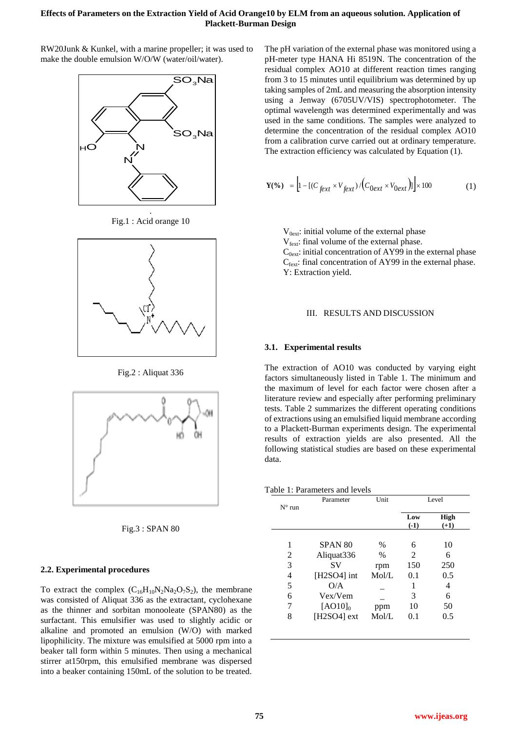# **Effects of Parameters on the Extraction Yield of Acid Orange10 by ELM from an aqueous solution. Application of Plackett-Burman Design**

RW20Junk & Kunkel, with a marine propeller; it was used to make the double emulsion W/O/W (water/oil/water).



Fig.1 : Acid orange 10



Fig.2 : Aliquat 336





## **2.2. Experimental procedures**

To extract the complex  $(C_{16}H_{10}N_2Na_2O_7S_2)$ , the membrane was consisted of Aliquat 336 as the extractant, cyclohexane as the thinner and sorbitan monooleate (SPAN80) as the surfactant. This emulsifier was used to slightly acidic or alkaline and promoted an emulsion (W/O) with marked lipophilicity. The mixture was emulsified at 5000 rpm into a beaker tall form within 5 minutes. Then using a mechanical stirrer at150rpm, this emulsified membrane was dispersed into a beaker containing 150mL of the solution to be treated. The pH variation of the external phase was monitored using a pH-meter type HANA Hi 8519N. The concentration of the residual complex AO10 at different reaction times ranging from 3 to 15 minutes until equilibrium was determined by up taking samples of 2mL and measuring the absorption intensity using a Jenway (6705UV/VIS) spectrophotometer. The optimal wavelength was determined experimentally and was used in the same conditions. The samples were analyzed to determine the concentration of the residual complex AO10 from a calibration curve carried out at ordinary temperature. The extraction efficiency was calculated by Equation (1).

$$
\mathbf{Y}(\%)\quad = \left[1 - \left[\left(C_{\text{fext}} \times V_{\text{fext}}\right) / \left(C_{\text{0ext}} \times V_{\text{0ext}}\right)\right]\right] \times 100\tag{1}
$$

 $V_{0ext}$ : initial volume of the external phase

 $V_{\text{feat}}$ : final volume of the external phase.

 $C_{0ext}$ : initial concentration of AY99 in the external phase  $C_{\text{fext}}$ : final concentration of AY99 in the external phase. Y: Extraction yield.

#### III. RESULTS AND DISCUSSION

## **3.1. Experimental results**

The extraction of AO10 was conducted by varying eight factors simultaneously listed in Table 1. The minimum and the maximum of level for each factor were chosen after a literature review and especially after performing preliminary tests. Table 2 summarizes the different operating conditions of extractions using an emulsified liquid membrane according to a Plackett-Burman experiments design. The experimental results of extraction yields are also presented. All the following statistical studies are based on these experimental data.

| Table 1: Parameters and levels |  |
|--------------------------------|--|
|--------------------------------|--|

| $N^{\circ}$ run | Parameter          | Unit  | Level          |             |  |
|-----------------|--------------------|-------|----------------|-------------|--|
|                 |                    |       | Low            | <b>High</b> |  |
|                 |                    |       | $(-1)$         | $(+1)$      |  |
| 1               | SPAN <sub>80</sub> | $\%$  | 6              | 10          |  |
| 2               | Aliquat336         | $\%$  | $\mathfrak{D}$ | 6           |  |
| 3               | SV                 | rpm   | 150            | 250         |  |
| 4               | [H2SO4] int        | Mol/L | 0.1            | 0.5         |  |
| 5               | O/A                |       |                | 4           |  |
| 6               | Vex/Vem            |       | 3              | 6           |  |
| 7               | $[AO10]_0$         | ppm   | 10             | 50          |  |
| 8               | [H2SO4] ext        | Mol/L | 0.1            | 0.5         |  |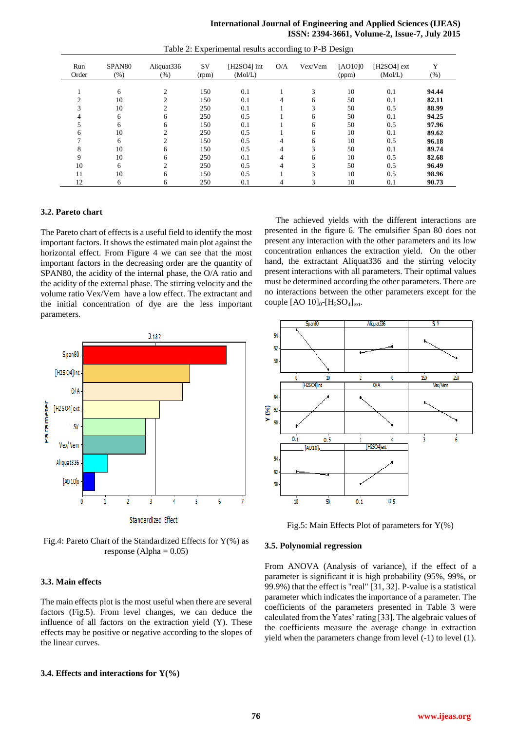## **International Journal of Engineering and Applied Sciences (IJEAS) ISSN: 2394-3661, Volume-2, Issue-7, July 2015**

| Run<br>Order | SPAN <sub>80</sub><br>$(\% )$ | Aliquat336<br>(%) | <b>SV</b><br>(rpm) | $[H2SO4]$ int<br>(Mol/L) | O/A | Vex/Vem | [AO10]0<br>(ppm) | $[H2SO4]$ ext<br>(Mol/L) | Y<br>(% ) |
|--------------|-------------------------------|-------------------|--------------------|--------------------------|-----|---------|------------------|--------------------------|-----------|
|              |                               |                   |                    |                          |     |         |                  |                          |           |
|              | 6                             | $\bigcirc$        | 150                | 0.1                      |     | 3       | 10               | 0.1                      | 94.44     |
|              | 10                            | $\sim$            | 150                | 0.1                      |     | 6       | 50               | 0.1                      | 82.11     |
|              | 10                            | ◠                 | 250                | 0.1                      |     | 3       | 50               | 0.5                      | 88.99     |
|              | 6                             | 6                 | 250                | 0.5                      |     | 6       | 50               | 0.1                      | 94.25     |
|              | 6                             | 6                 | 150                | 0.1                      |     | 6       | 50               | 0.5                      | 97.96     |
| 6            | 10                            | $\mathfrak{D}$    | 250                | 0.5                      |     | 6       | 10               | 0.1                      | 89.62     |
|              | 6                             | $\sim$            | 150                | 0.5                      | 4   | 6       | 10               | 0.5                      | 96.18     |
| 8            | 10                            | 6                 | 150                | 0.5                      | 4   | 3       | 50               | 0.1                      | 89.74     |
| 9            | 10                            | 6                 | 250                | 0.1                      | 4   | 6       | 10               | 0.5                      | 82.68     |
| 10           | 6                             | $\sim$            | 250                | 0.5                      | 4   | 3       | 50               | 0.5                      | 96.49     |
| 11           | 10                            | 6                 | 150                | 0.5                      |     | 3       | 10               | 0.5                      | 98.96     |
| 12           | 6                             | 6                 | 250                | 0.1                      |     |         | 10               | 0.1                      | 90.73     |

Table 2: Experimental results according to P-B Design

## **3.2. Pareto chart**

The Pareto chart of effects is a useful field to identify the most important factors. It shows the estimated main plot against the horizontal effect. From Figure 4 we can see that the most important factors in the decreasing order are the quantity of SPAN80, the acidity of the internal phase, the O/A ratio and the acidity of the external phase. The stirring velocity and the volume ratio Vex/Vem have a low effect. The extractant and the initial concentration of dye are the less important parameters.



Fig.4: Pareto Chart of the Standardized Effects for  $Y(\%)$  as response (Alpha  $= 0.05$ )

## **3.3. Main effects**

The main effects plot is the most useful when there are several factors (Fig.5). From level changes, we can deduce the influence of all factors on the extraction yield (Y). These effects may be positive or negative according to the slopes of the linear curves.

## **3.4. Effects and interactions for Y(%)**

 The achieved yields with the different interactions are presented in the figure 6. The emulsifier Span 80 does not present any interaction with the other parameters and its low concentration enhances the extraction yield. On the other hand, the extractant Aliquat336 and the stirring velocity present interactions with all parameters. Their optimal values must be determined according the other parameters. There are no interactions between the other parameters except for the couple  $[AO 10]_0$ - $[H_2SO_4]_{ext}$ .



Fig.5: Main Effects Plot of parameters for  $Y(\%)$ 

### **3.5. Polynomial regression**

From ANOVA (Analysis of variance), if the effect of a parameter is significant it is high probability (95%, 99%, or 99.9%) that the effect is "real" [31, 32]. P-value is a statistical parameter which indicates the importance of a parameter. The coefficients of the parameters presented in Table 3 were calculated from the Yates' rating [33]. The algebraic values of the coefficients measure the average change in extraction yield when the parameters change from level (-1) to level (1).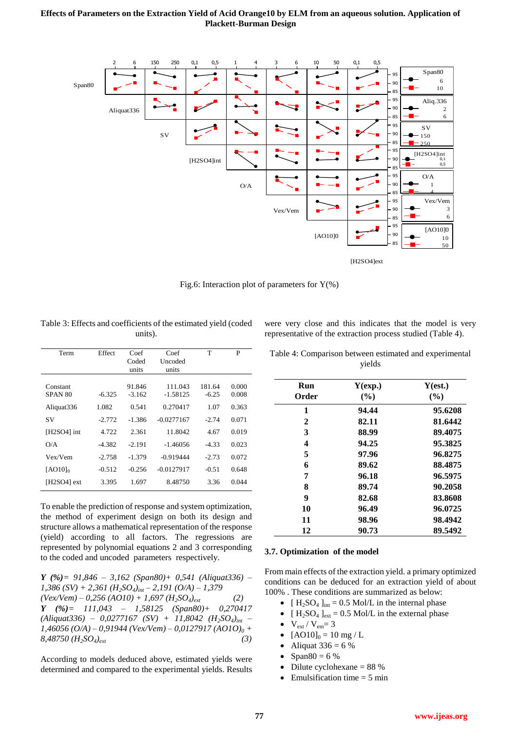## **Effects of Parameters on the Extraction Yield of Acid Orange10 by ELM from an aqueous solution. Application of Plackett-Burman Design**



Fig.6: Interaction plot of parameters for  $Y(\%)$ 

| Table 3: Effects and coefficients of the estimated yield (coded |
|-----------------------------------------------------------------|
| units).                                                         |

|  |  | were very close and this indicates that the model is very   |  |  |  |
|--|--|-------------------------------------------------------------|--|--|--|
|  |  | representative of the extraction process studied (Table 4). |  |  |  |

| Term          | Effect   | Coef     | Coef         | T       | P     |
|---------------|----------|----------|--------------|---------|-------|
|               |          | Coded    | Uncoded      |         |       |
|               |          | units    | units        |         |       |
|               |          |          |              |         |       |
| Constant      |          | 91.846   | 111.043      | 181.64  | 0.000 |
| SPAN 80       | $-6.325$ | $-3.162$ | $-1.58125$   | $-6.25$ | 0.008 |
| Aliquat336    | 1.082    | 0.541    | 0.270417     | 1.07    | 0.363 |
| SV            | $-2.772$ | $-1.386$ | $-0.0277167$ | $-2.74$ | 0.071 |
| [H2SO4] int   | 4.722    | 2.361    | 11.8042      | 4.67    | 0.019 |
| O/A           | $-4.382$ | $-2.191$ | $-1.46056$   | $-4.33$ | 0.023 |
| Vex/Vem       | $-2.758$ | $-1.379$ | $-0.919444$  | $-2.73$ | 0.072 |
| $[AO10]_0$    | $-0.512$ | $-0.256$ | $-0.0127917$ | $-0.51$ | 0.648 |
| [H2SO4] $ext$ | 3.395    | 1.697    | 8.48750      | 3.36    | 0.044 |
|               |          |          |              |         |       |

To enable the prediction of response and system optimization, the method of experiment design on both its design and structure allows a mathematical representation of the response (yield) according to all factors. The regressions are represented by polynomial equations 2 and 3 corresponding to the coded and uncoded parameters respectively.

*Y (%)= 91,846 – 3,162 (Span80)+ 0,541 (Aliquat336) – 1,386 (SV) + 2,361 (H2SO4)int – 2,191 (O/A) – 1,379*   $(VexVem) - 0,256 (AO10) + 1,697 (H<sub>2</sub>SO<sub>4</sub>)<sub>ext</sub>$  (2) *Y (%)= 111,043 – 1,58125 (Span80)+ 0,270417 (Aliquat336) – 0,0277167 (SV) + 11,8042 (H2SO4)int – 1,46056 (O/A) – 0,91944 (Vex/Vem) – 0,0127917 (AO1O)<sup>0</sup> + 8,48750 (H2SO4)ext (3)*

According to models deduced above, estimated yields were determined and compared to the experimental yields. Results

| Table 4: Comparison between estimated and experimental |
|--------------------------------------------------------|
| vields                                                 |

| Run   | Y(exp.) | Y(est.) |
|-------|---------|---------|
| Order | $($ %)  | (%)     |
| 1     | 94.44   | 95.6208 |
| 2     | 82.11   | 81.6442 |
| 3     | 88.99   | 89.4075 |
| 4     | 94.25   | 95.3825 |
| 5     | 97.96   | 96.8275 |
| 6     | 89.62   | 88.4875 |
| 7     | 96.18   | 96.5975 |
| 8     | 89.74   | 90.2058 |
| 9     | 82.68   | 83.8608 |
| 10    | 96.49   | 96.0725 |
| 11    | 98.96   | 98.4942 |
| 12    | 90.73   | 89.5492 |

# **3.7. Optimization of the model**

From main effects of the extraction yield. a primary optimized conditions can be deduced for an extraction yield of about 100% . These conditions are summarized as below:

- $[H_2SO_4]_{int} = 0.5 \text{ Mol/L}$  in the internal phase
- $[H_2SO_4]_{ext} = 0.5 \text{ Mol/L}$  in the external phase
- $V_{ext} / V_{em} = 3$
- $[AO10]_0 = 10$  mg / L
- Aliquat  $336 = 6 %$
- Span $80 = 6 \%$
- $\bullet$  Dilute cyclohexane = 88 %
- $\bullet$  Emulsification time = 5 min